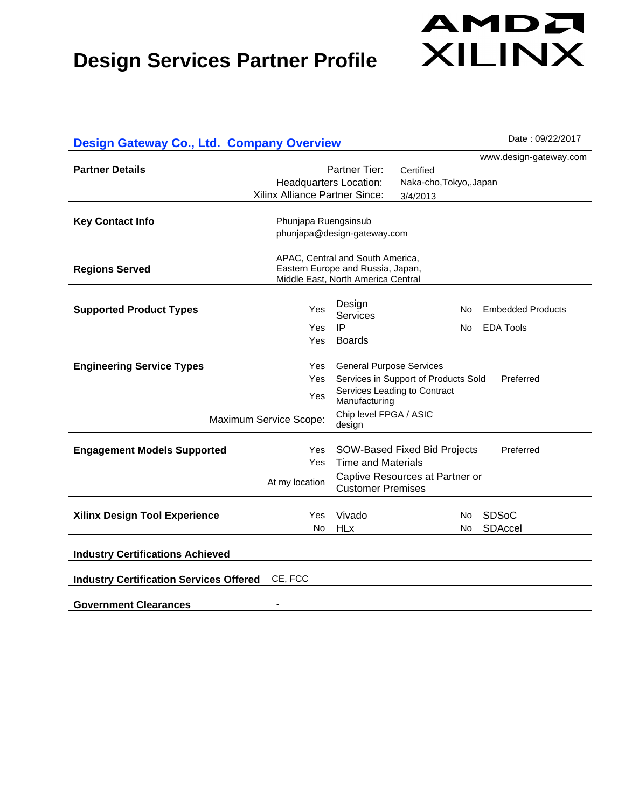# AMDA XILINX

| <b>Design Gateway Co., Ltd. Company Overview</b>          | Date: 09/22/2017               |                                    |                                      |                          |  |
|-----------------------------------------------------------|--------------------------------|------------------------------------|--------------------------------------|--------------------------|--|
|                                                           |                                |                                    |                                      | www.design-gateway.com   |  |
| <b>Partner Details</b>                                    |                                | Partner Tier:                      | Certified                            |                          |  |
|                                                           | <b>Headquarters Location:</b>  |                                    |                                      | Naka-cho, Tokyo,, Japan  |  |
|                                                           | Xilinx Alliance Partner Since: |                                    | 3/4/2013                             |                          |  |
|                                                           |                                |                                    |                                      |                          |  |
| <b>Key Contact Info</b>                                   | Phunjapa Ruengsinsub           |                                    |                                      |                          |  |
|                                                           | phunjapa@design-gateway.com    |                                    |                                      |                          |  |
|                                                           |                                | APAC, Central and South America,   |                                      |                          |  |
| <b>Regions Served</b>                                     |                                | Eastern Europe and Russia, Japan,  |                                      |                          |  |
|                                                           |                                | Middle East, North America Central |                                      |                          |  |
|                                                           |                                |                                    |                                      |                          |  |
| <b>Supported Product Types</b>                            | Yes                            | Design<br>Services                 | No                                   | <b>Embedded Products</b> |  |
|                                                           | Yes                            | IP                                 | No                                   | <b>EDA Tools</b>         |  |
|                                                           | Yes                            | <b>Boards</b>                      |                                      |                          |  |
|                                                           |                                |                                    |                                      |                          |  |
| <b>Engineering Service Types</b>                          | Yes                            | <b>General Purpose Services</b>    |                                      |                          |  |
|                                                           | Yes                            |                                    | Services in Support of Products Sold | Preferred                |  |
|                                                           | Yes                            | Manufacturing                      | Services Leading to Contract         |                          |  |
|                                                           |                                | Chip level FPGA / ASIC             |                                      |                          |  |
|                                                           | Maximum Service Scope:         | design                             |                                      |                          |  |
|                                                           |                                |                                    |                                      |                          |  |
| <b>Engagement Models Supported</b>                        | Yes                            |                                    | SOW-Based Fixed Bid Projects         | Preferred                |  |
|                                                           | Yes                            | <b>Time and Materials</b>          |                                      |                          |  |
|                                                           | At my location                 | <b>Customer Premises</b>           | Captive Resources at Partner or      |                          |  |
|                                                           |                                |                                    |                                      |                          |  |
| <b>Xilinx Design Tool Experience</b>                      | Yes                            | Vivado                             | No.                                  | <b>SDSoC</b>             |  |
|                                                           | No.                            | <b>HLx</b>                         | No.                                  | <b>SDAccel</b>           |  |
|                                                           |                                |                                    |                                      |                          |  |
| <b>Industry Certifications Achieved</b>                   |                                |                                    |                                      |                          |  |
|                                                           |                                |                                    |                                      |                          |  |
| <b>Industry Certification Services Offered</b><br>CE, FCC |                                |                                    |                                      |                          |  |
|                                                           |                                |                                    |                                      |                          |  |
| <b>Government Clearances</b>                              |                                |                                    |                                      |                          |  |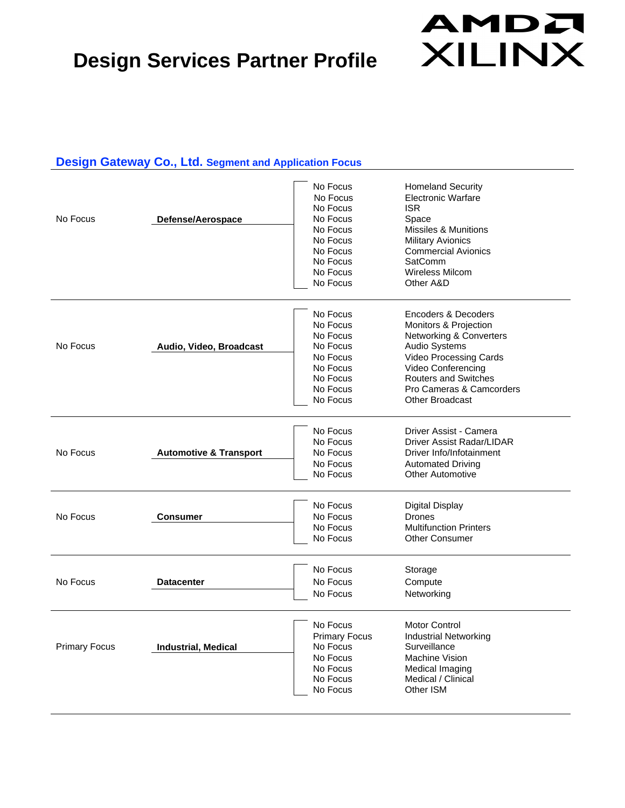## AMDA **XILINX**

#### **Design Gateway Co., Ltd. Segment and Application Focus**

| No Focus             | Defense/Aerospace                 | No Focus<br>No Focus<br>No Focus<br>No Focus<br>No Focus<br>No Focus<br>No Focus<br>No Focus<br>No Focus<br>No Focus | <b>Homeland Security</b><br><b>Electronic Warfare</b><br><b>ISR</b><br>Space<br><b>Missiles &amp; Munitions</b><br><b>Military Avionics</b><br><b>Commercial Avionics</b><br><b>SatComm</b><br><b>Wireless Milcom</b><br>Other A&D                     |
|----------------------|-----------------------------------|----------------------------------------------------------------------------------------------------------------------|--------------------------------------------------------------------------------------------------------------------------------------------------------------------------------------------------------------------------------------------------------|
| No Focus             | Audio, Video, Broadcast           | No Focus<br>No Focus<br>No Focus<br>No Focus<br>No Focus<br>No Focus<br>No Focus<br>No Focus<br>No Focus             | Encoders & Decoders<br><b>Monitors &amp; Projection</b><br>Networking & Converters<br><b>Audio Systems</b><br><b>Video Processing Cards</b><br>Video Conferencing<br><b>Routers and Switches</b><br>Pro Cameras & Camcorders<br><b>Other Broadcast</b> |
| No Focus             | <b>Automotive &amp; Transport</b> | No Focus<br>No Focus<br>No Focus<br>No Focus<br>No Focus                                                             | Driver Assist - Camera<br>Driver Assist Radar/LIDAR<br>Driver Info/Infotainment<br><b>Automated Driving</b><br><b>Other Automotive</b>                                                                                                                 |
| No Focus             | <b>Consumer</b>                   | No Focus<br>No Focus<br>No Focus<br>No Focus                                                                         | <b>Digital Display</b><br><b>Drones</b><br><b>Multifunction Printers</b><br><b>Other Consumer</b>                                                                                                                                                      |
| No Focus             | <b>Datacenter</b>                 | No Focus<br>No Focus<br>No Focus                                                                                     | Storage<br>Compute<br>Networking                                                                                                                                                                                                                       |
| <b>Primary Focus</b> | <b>Industrial, Medical</b>        | No Focus<br><b>Primary Focus</b><br>No Focus<br>No Focus<br>No Focus<br>No Focus<br>No Focus                         | <b>Motor Control</b><br><b>Industrial Networking</b><br>Surveillance<br>Machine Vision<br>Medical Imaging<br>Medical / Clinical<br>Other ISM                                                                                                           |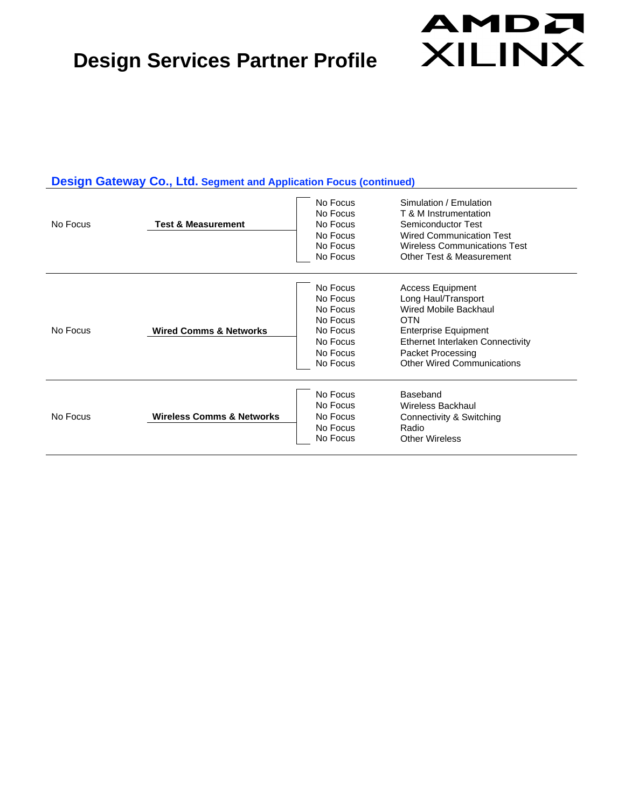

#### **Design Gateway Co., Ltd. Segment and Application Focus (continued)**

| No Focus | <b>Test &amp; Measurement</b>        | No Focus<br>No Focus<br>No Focus<br>No Focus<br>No Focus<br>No Focus                         | Simulation / Emulation<br>T & M Instrumentation<br>Semiconductor Test<br><b>Wired Communication Test</b><br><b>Wireless Communications Test</b><br>Other Test & Measurement                                        |
|----------|--------------------------------------|----------------------------------------------------------------------------------------------|--------------------------------------------------------------------------------------------------------------------------------------------------------------------------------------------------------------------|
| No Focus | <b>Wired Comms &amp; Networks</b>    | No Focus<br>No Focus<br>No Focus<br>No Focus<br>No Focus<br>No Focus<br>No Focus<br>No Focus | <b>Access Equipment</b><br>Long Haul/Transport<br>Wired Mobile Backhaul<br><b>OTN</b><br><b>Enterprise Equipment</b><br>Ethernet Interlaken Connectivity<br>Packet Processing<br><b>Other Wired Communications</b> |
| No Focus | <b>Wireless Comms &amp; Networks</b> | No Focus<br>No Focus<br>No Focus<br>No Focus<br>No Focus                                     | Baseband<br><b>Wireless Backhaul</b><br>Connectivity & Switching<br>Radio<br><b>Other Wireless</b>                                                                                                                 |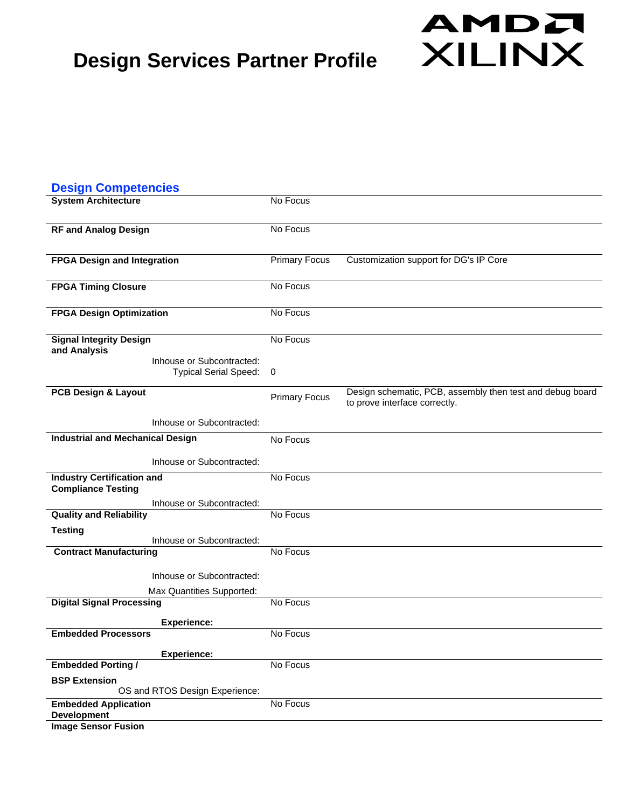| <b>Design Competencies</b>              |                                  |                      |                                                                                            |
|-----------------------------------------|----------------------------------|----------------------|--------------------------------------------------------------------------------------------|
| <b>System Architecture</b>              |                                  | No Focus             |                                                                                            |
|                                         |                                  |                      |                                                                                            |
| <b>RF and Analog Design</b>             |                                  | No Focus             |                                                                                            |
| <b>FPGA Design and Integration</b>      |                                  | <b>Primary Focus</b> | Customization support for DG's IP Core                                                     |
|                                         |                                  |                      |                                                                                            |
| <b>FPGA Timing Closure</b>              |                                  | No Focus             |                                                                                            |
| <b>FPGA Design Optimization</b>         |                                  | No Focus             |                                                                                            |
|                                         |                                  |                      |                                                                                            |
| <b>Signal Integrity Design</b>          |                                  | No Focus             |                                                                                            |
| and Analysis                            | Inhouse or Subcontracted:        |                      |                                                                                            |
|                                         | <b>Typical Serial Speed:</b>     | 0                    |                                                                                            |
| PCB Design & Layout                     |                                  | <b>Primary Focus</b> | Design schematic, PCB, assembly then test and debug board<br>to prove interface correctly. |
|                                         | Inhouse or Subcontracted:        |                      |                                                                                            |
| <b>Industrial and Mechanical Design</b> |                                  | No Focus             |                                                                                            |
|                                         | Inhouse or Subcontracted:        |                      |                                                                                            |
| <b>Industry Certification and</b>       |                                  | No Focus             |                                                                                            |
| <b>Compliance Testing</b>               |                                  |                      |                                                                                            |
| <b>Quality and Reliability</b>          | Inhouse or Subcontracted:        | No Focus             |                                                                                            |
| <b>Testing</b>                          |                                  |                      |                                                                                            |
|                                         | Inhouse or Subcontracted:        |                      |                                                                                            |
| <b>Contract Manufacturing</b>           |                                  | No Focus             |                                                                                            |
|                                         | Inhouse or Subcontracted:        |                      |                                                                                            |
|                                         | <b>Max Quantities Supported:</b> |                      |                                                                                            |
| <b>Digital Signal Processing</b>        |                                  | No Focus             |                                                                                            |
|                                         | <b>Experience:</b>               |                      |                                                                                            |
| <b>Embedded Processors</b>              |                                  | No Focus             |                                                                                            |
|                                         | <b>Experience:</b>               |                      |                                                                                            |
| <b>Embedded Porting /</b>               |                                  | No Focus             |                                                                                            |
| <b>BSP Extension</b>                    |                                  |                      |                                                                                            |
| <b>Embedded Application</b>             | OS and RTOS Design Experience:   | No Focus             |                                                                                            |
| <b>Development</b>                      |                                  |                      |                                                                                            |

AMDA

**XILINX** 

**Image Sensor Fusion**